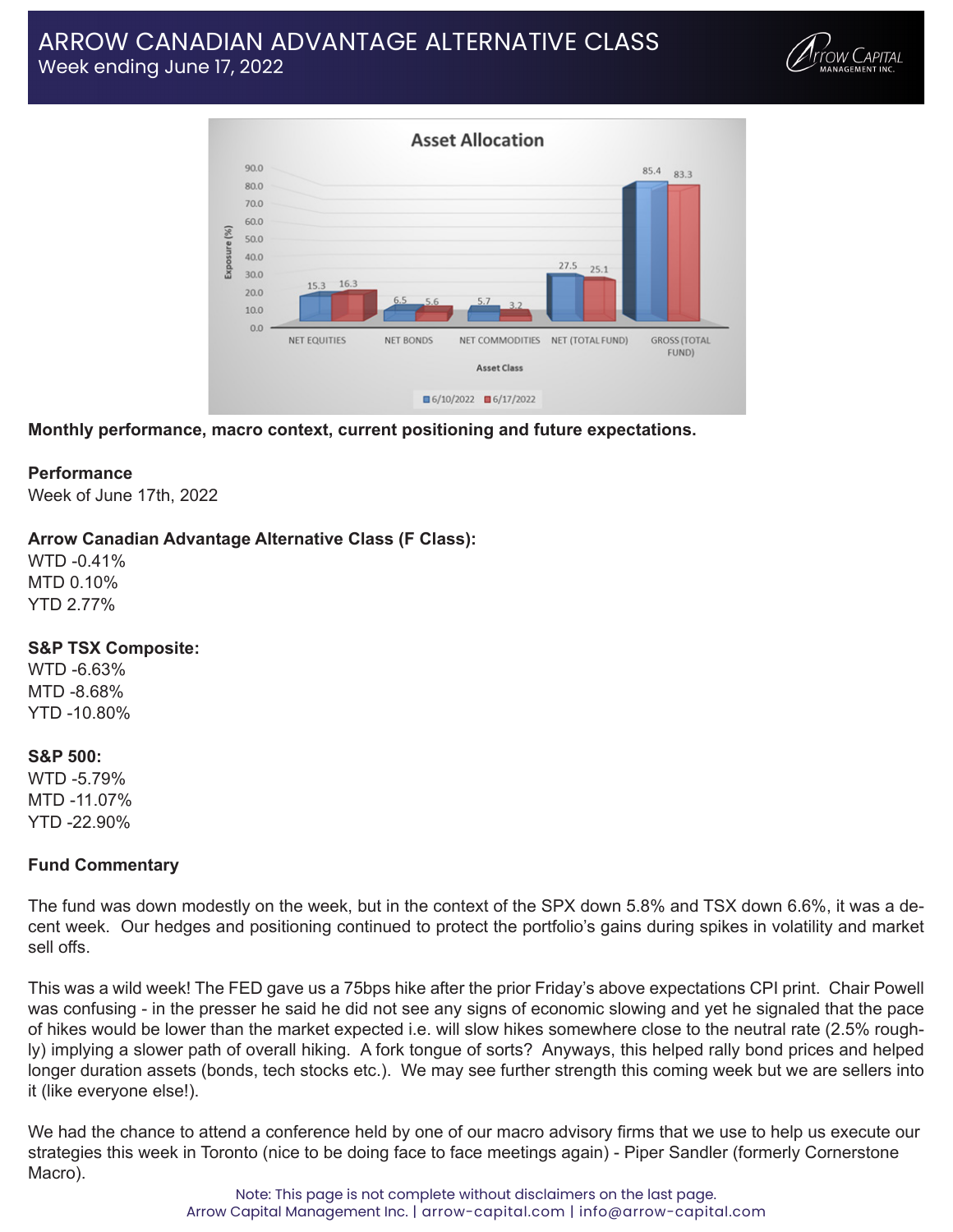# ARROW CANADIAN ADVANTAGE ALTERNATIVE CLASS Week ending June 17, 2022





**Monthly performance, macro context, current positioning and future expectations.**

#### **Performance**

Week of June 17th, 2022

#### **Arrow Canadian Advantage Alternative Class (F Class):**

WTD -0.41% MTD 0.10% YTD 2.77%

#### **S&P TSX Composite:**

WTD -6.63% MTD -8.68% YTD -10.80%

#### **S&P 500:**

WTD -5.79% MTD -11.07% YTD -22.90%

#### **Fund Commentary**

The fund was down modestly on the week, but in the context of the SPX down 5.8% and TSX down 6.6%, it was a decent week. Our hedges and positioning continued to protect the portfolio's gains during spikes in volatility and market sell offs.

This was a wild week! The FED gave us a 75bps hike after the prior Friday's above expectations CPI print. Chair Powell was confusing - in the presser he said he did not see any signs of economic slowing and yet he signaled that the pace of hikes would be lower than the market expected i.e. will slow hikes somewhere close to the neutral rate (2.5% roughly) implying a slower path of overall hiking. A fork tongue of sorts? Anyways, this helped rally bond prices and helped longer duration assets (bonds, tech stocks etc.). We may see further strength this coming week but we are sellers into it (like everyone else!).

We had the chance to attend a conference held by one of our macro advisory firms that we use to help us execute our strategies this week in Toronto (nice to be doing face to face meetings again) - Piper Sandler (formerly Cornerstone Macro).

> Note: This page is not complete without disclaimers on the last page. Arrow Capital Management Inc. | arrow-capital.com | info@arrow-capital.com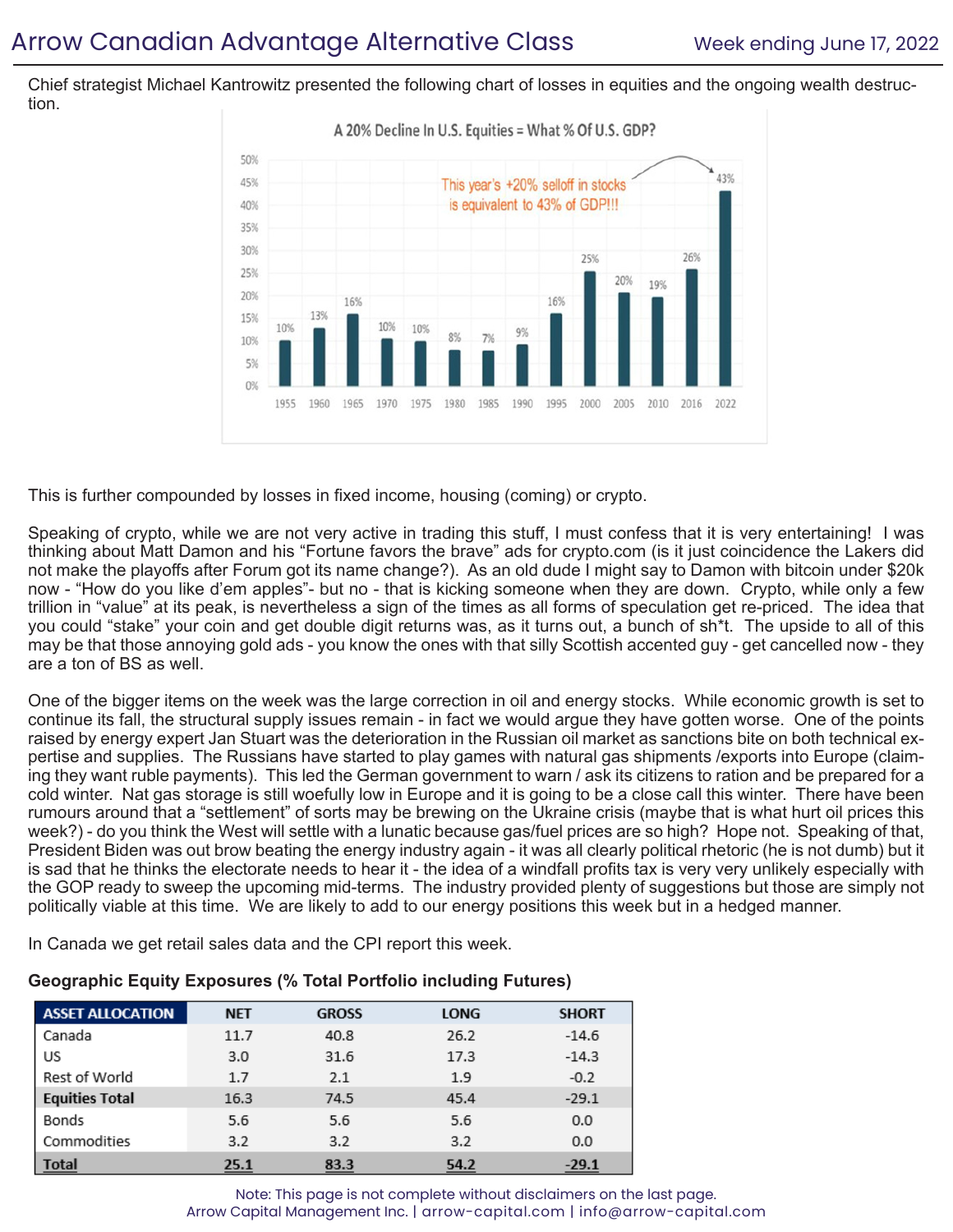Chief strategist Michael Kantrowitz presented the following chart of losses in equities and the ongoing wealth destruction.



This is further compounded by losses in fixed income, housing (coming) or crypto.

Speaking of crypto, while we are not very active in trading this stuff, I must confess that it is very entertaining! I was thinking about Matt Damon and his "Fortune favors the brave" ads for crypto.com (is it just coincidence the Lakers did not make the playoffs after Forum got its name change?). As an old dude I might say to Damon with bitcoin under \$20k now - "How do you like d'em apples"- but no - that is kicking someone when they are down. Crypto, while only a few trillion in "value" at its peak, is nevertheless a sign of the times as all forms of speculation get re-priced. The idea that you could "stake" your coin and get double digit returns was, as it turns out, a bunch of sh\*t. The upside to all of this may be that those annoying gold ads - you know the ones with that silly Scottish accented guy - get cancelled now - they are a ton of BS as well.

One of the bigger items on the week was the large correction in oil and energy stocks. While economic growth is set to continue its fall, the structural supply issues remain - in fact we would argue they have gotten worse. One of the points raised by energy expert Jan Stuart was the deterioration in the Russian oil market as sanctions bite on both technical expertise and supplies. The Russians have started to play games with natural gas shipments /exports into Europe (claiming they want ruble payments). This led the German government to warn / ask its citizens to ration and be prepared for a cold winter. Nat gas storage is still woefully low in Europe and it is going to be a close call this winter. There have been rumours around that a "settlement" of sorts may be brewing on the Ukraine crisis (maybe that is what hurt oil prices this week?) - do you think the West will settle with a lunatic because gas/fuel prices are so high? Hope not. Speaking of that, President Biden was out brow beating the energy industry again - it was all clearly political rhetoric (he is not dumb) but it is sad that he thinks the electorate needs to hear it - the idea of a windfall profits tax is very very unlikely especially with the GOP ready to sweep the upcoming mid-terms. The industry provided plenty of suggestions but those are simply not politically viable at this time. We are likely to add to our energy positions this week but in a hedged manner.

In Canada we get retail sales data and the CPI report this week.

| <b>ASSET ALLOCATION</b> | <b>NET</b> | <b>GROSS</b> | <b>LONG</b> | <b>SHORT</b> |
|-------------------------|------------|--------------|-------------|--------------|
| Canada                  | 11.7       | 40.8         | 26.2        | $-14.6$      |
| US                      | 3.0        | 31.6         | 17.3        | $-14.3$      |
| Rest of World           | 1.7        | 2.1          | 1.9         | $-0.2$       |
| <b>Equities Total</b>   | 16.3       | 74.5         | 45.4        | $-29.1$      |
| Bonds                   | 5.6        | 5.6          | 5.6         | 0.0          |
| Commodities             | 3.2        | 3.2          | 3.2         | 0.0          |
| <b>Total</b>            | 25.1       | 83.3         | 54.2        | $-29.1$      |

#### **Geographic Equity Exposures (% Total Portfolio including Futures)**

Note: This page is not complete without disclaimers on the last page. Arrow Capital Management Inc. | arrow-capital.com | info@arrow-capital.com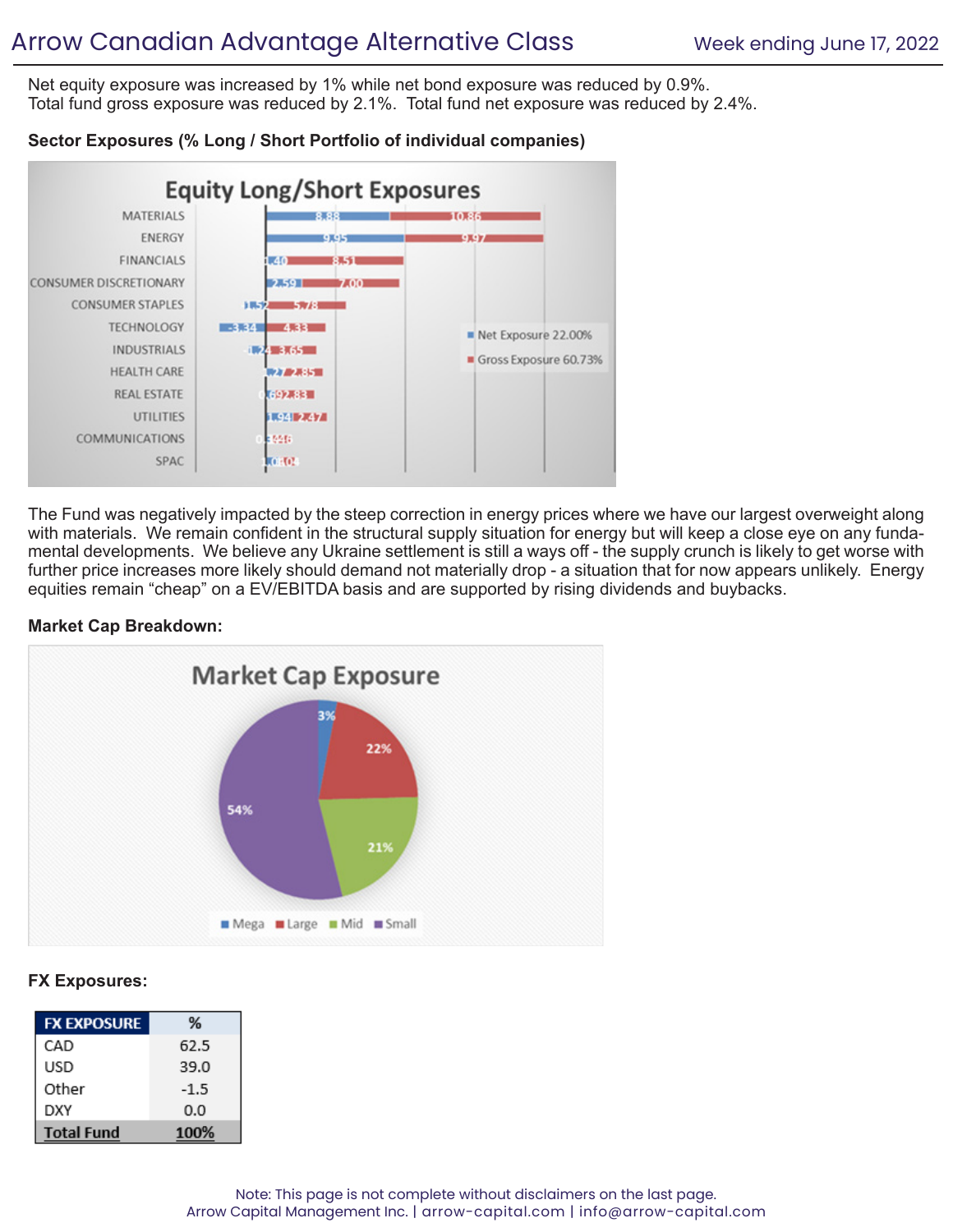Net equity exposure was increased by 1% while net bond exposure was reduced by 0.9%. Total fund gross exposure was reduced by 2.1%. Total fund net exposure was reduced by 2.4%.

## **Sector Exposures (% Long / Short Portfolio of individual companies)**



The Fund was negatively impacted by the steep correction in energy prices where we have our largest overweight along with materials. We remain confident in the structural supply situation for energy but will keep a close eye on any fundamental developments. We believe any Ukraine settlement is still a ways off - the supply crunch is likely to get worse with further price increases more likely should demand not materially drop - a situation that for now appears unlikely. Energy equities remain "cheap" on a EV/EBITDA basis and are supported by rising dividends and buybacks.

### **Market Cap Breakdown:**



## **FX Exposures:**

| <b>FX EXPOSURE</b> | %      |
|--------------------|--------|
| CAD                | 62.5   |
| USD                | 39.0   |
| Other              | $-1.5$ |
| DXY                | 0.0    |
| <b>Total Fund</b>  | 100%   |